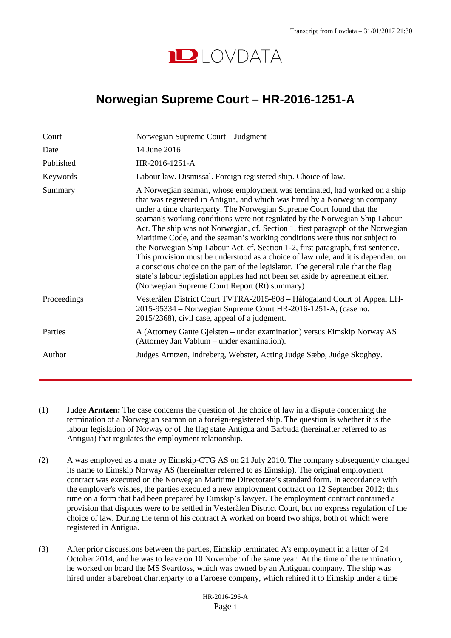

## **Norwegian Supreme Court – HR-2016-1251-A**

| Court       | Norwegian Supreme Court – Judgment                                                                                                                                                                                                                                                                                                                                                                                                                                                                                                                                                                                                                                                                                                                                                                                                                                                 |
|-------------|------------------------------------------------------------------------------------------------------------------------------------------------------------------------------------------------------------------------------------------------------------------------------------------------------------------------------------------------------------------------------------------------------------------------------------------------------------------------------------------------------------------------------------------------------------------------------------------------------------------------------------------------------------------------------------------------------------------------------------------------------------------------------------------------------------------------------------------------------------------------------------|
| Date        | 14 June 2016                                                                                                                                                                                                                                                                                                                                                                                                                                                                                                                                                                                                                                                                                                                                                                                                                                                                       |
| Published   | $HR-2016-1251-A$                                                                                                                                                                                                                                                                                                                                                                                                                                                                                                                                                                                                                                                                                                                                                                                                                                                                   |
| Keywords    | Labour law. Dismissal. Foreign registered ship. Choice of law.                                                                                                                                                                                                                                                                                                                                                                                                                                                                                                                                                                                                                                                                                                                                                                                                                     |
| Summary     | A Norwegian seaman, whose employment was terminated, had worked on a ship<br>that was registered in Antigua, and which was hired by a Norwegian company<br>under a time charterparty. The Norwegian Supreme Court found that the<br>seaman's working conditions were not regulated by the Norwegian Ship Labour<br>Act. The ship was not Norwegian, cf. Section 1, first paragraph of the Norwegian<br>Maritime Code, and the seaman's working conditions were thus not subject to<br>the Norwegian Ship Labour Act, cf. Section 1-2, first paragraph, first sentence.<br>This provision must be understood as a choice of law rule, and it is dependent on<br>a conscious choice on the part of the legislator. The general rule that the flag<br>state's labour legislation applies had not been set aside by agreement either.<br>(Norwegian Supreme Court Report (Rt) summary) |
| Proceedings | Vesterålen District Court TVTRA-2015-808 – Hålogaland Court of Appeal LH-<br>2015-95334 – Norwegian Supreme Court HR-2016-1251-A, (case no.<br>2015/2368), civil case, appeal of a judgment.                                                                                                                                                                                                                                                                                                                                                                                                                                                                                                                                                                                                                                                                                       |
| Parties     | A (Attorney Gaute Gjelsten – under examination) versus Eimskip Norway AS<br>(Attorney Jan Vablum – under examination).                                                                                                                                                                                                                                                                                                                                                                                                                                                                                                                                                                                                                                                                                                                                                             |
| Author      | Judges Arntzen, Indreberg, Webster, Acting Judge Sæbø, Judge Skoghøy.                                                                                                                                                                                                                                                                                                                                                                                                                                                                                                                                                                                                                                                                                                                                                                                                              |

- (1) Judge **Arntzen:** The case concerns the question of the choice of law in a dispute concerning the termination of a Norwegian seaman on a foreign-registered ship. The question is whether it is the labour legislation of Norway or of the flag state Antigua and Barbuda (hereinafter referred to as Antigua) that regulates the employment relationship.
- (2) A was employed as a mate by Eimskip-CTG AS on 21 July 2010. The company subsequently changed its name to Eimskip Norway AS (hereinafter referred to as Eimskip). The original employment contract was executed on the Norwegian Maritime Directorate's standard form. In accordance with the employer's wishes, the parties executed a new employment contract on 12 September 2012; this time on a form that had been prepared by Eimskip's lawyer. The employment contract contained a provision that disputes were to be settled in Vesterålen District Court, but no express regulation of the choice of law. During the term of his contract A worked on board two ships, both of which were registered in Antigua.
- (3) After prior discussions between the parties, Eimskip terminated A's employment in a letter of 24 October 2014, and he was to leave on 10 November of the same year. At the time of the termination, he worked on board the MS Svartfoss, which was owned by an Antiguan company. The ship was hired under a bareboat charterparty to a Faroese company, which rehired it to Eimskip under a time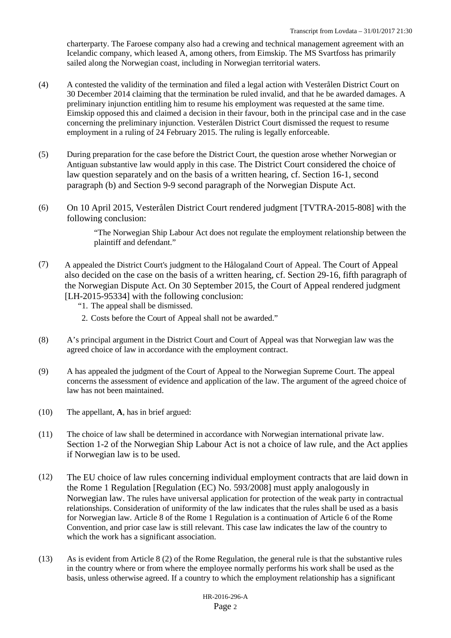charterparty. The Faroese company also had a crewing and technical management agreement with an Icelandic company, which leased A, among others, from Eimskip. The MS Svartfoss has primarily sailed along the Norwegian coast, including in Norwegian territorial waters.

- (4) A contested the validity of the termination and filed a legal action with Vesterålen District Court on 30 December 2014 claiming that the termination be ruled invalid, and that he be awarded damages. A preliminary injunction entitling him to resume his employment was requested at the same time. Eimskip opposed this and claimed a decision in their favour, both in the principal case and in the case concerning the preliminary injunction. Vesterålen District Court dismissed the request to resume employment in a ruling of 24 February 2015. The ruling is legally enforceable.
- (5) During preparation for the case before the District Court, the question arose whether Norwegian or Antiguan substantive law would apply in this case. The District Court considered the choice of law question separately and on the basis of a written hearing, cf. Section 16-1, second paragraph (b) and Section 9-9 second paragraph of the Norwegian Dispute Act.
- (6) On 10 April 2015, Vesterålen District Court rendered judgment [TVTRA-2015-808] with the following conclusion:

"The Norwegian Ship Labour Act does not regulate the employment relationship between the plaintiff and defendant."

(7) A appealed the District Court's judgment to the Hålogaland Court of Appeal. The Court of Appeal also decided on the case on the basis of a written hearing, cf. Section 29-16, fifth paragraph of the Norwegian Dispute Act. On 30 September 2015, the Court of Appeal rendered judgment [LH-2015-95334] with the following conclusion:

"1. The appeal shall be dismissed.

- 2. Costs before the Court of Appeal shall not be awarded."
- (8) A's principal argument in the District Court and Court of Appeal was that Norwegian law was the agreed choice of law in accordance with the employment contract.
- (9) A has appealed the judgment of the Court of Appeal to the Norwegian Supreme Court. The appeal concerns the assessment of evidence and application of the law. The argument of the agreed choice of law has not been maintained.
- (10) The appellant, **A**, has in brief argued:
- (11) The choice of law shall be determined in accordance with Norwegian international private law. Section 1-2 of the Norwegian Ship Labour Act is not a choice of law rule, and the Act applies if Norwegian law is to be used.
- (12) The EU choice of law rules concerning individual employment contracts that are laid down in the Rome 1 Regulation [Regulation (EC) No. 593/2008] must apply analogously in Norwegian law. The rules have universal application for protection of the weak party in contractual relationships. Consideration of uniformity of the law indicates that the rules shall be used as a basis for Norwegian law. Article 8 of the Rome 1 Regulation is a continuation of Article 6 of the Rome Convention, and prior case law is still relevant. This case law indicates the law of the country to which the work has a significant association.
- (13) As is evident from Article 8 (2) of the Rome Regulation, the general rule is that the substantive rules in the country where or from where the employee normally performs his work shall be used as the basis, unless otherwise agreed. If a country to which the employment relationship has a significant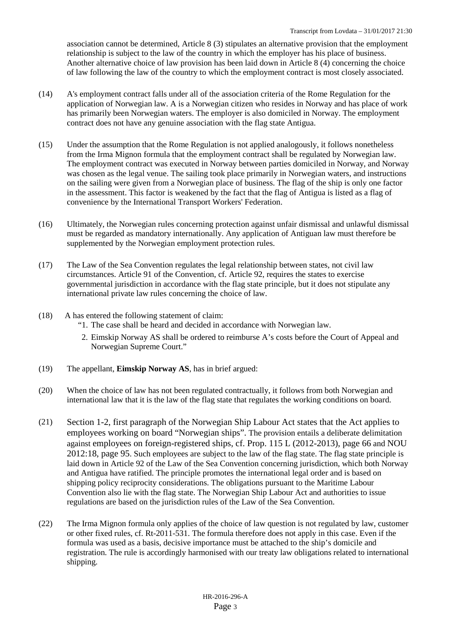association cannot be determined, Article 8 (3) stipulates an alternative provision that the employment relationship is subject to the law of the country in which the employer has his place of business. Another alternative choice of law provision has been laid down in Article 8 (4) concerning the choice of law following the law of the country to which the employment contract is most closely associated.

- (14) A's employment contract falls under all of the association criteria of the Rome Regulation for the application of Norwegian law. A is a Norwegian citizen who resides in Norway and has place of work has primarily been Norwegian waters. The employer is also domiciled in Norway. The employment contract does not have any genuine association with the flag state Antigua.
- (15) Under the assumption that the Rome Regulation is not applied analogously, it follows nonetheless from the Irma Mignon formula that the employment contract shall be regulated by Norwegian law. The employment contract was executed in Norway between parties domiciled in Norway, and Norway was chosen as the legal venue. The sailing took place primarily in Norwegian waters, and instructions on the sailing were given from a Norwegian place of business. The flag of the ship is only one factor in the assessment. This factor is weakened by the fact that the flag of Antigua is listed as a flag of convenience by the International Transport Workers' Federation.
- (16) Ultimately, the Norwegian rules concerning protection against unfair dismissal and unlawful dismissal must be regarded as mandatory internationally. Any application of Antiguan law must therefore be supplemented by the Norwegian employment protection rules.
- (17) The Law of the Sea Convention regulates the legal relationship between states, not civil law circumstances. Article 91 of the Convention, cf. Article 92, requires the states to exercise governmental jurisdiction in accordance with the flag state principle, but it does not stipulate any international private law rules concerning the choice of law.
- (18) A has entered the following statement of claim:
	- "1. The case shall be heard and decided in accordance with Norwegian law.
	- 2. Eimskip Norway AS shall be ordered to reimburse A's costs before the Court of Appeal and Norwegian Supreme Court."
- (19) The appellant, **Eimskip Norway AS**, has in brief argued:
- (20) When the choice of law has not been regulated contractually, it follows from both Norwegian and international law that it is the law of the flag state that regulates the working conditions on board.
- (21) Section 1-2, first paragraph of the Norwegian Ship Labour Act states that the Act applies to employees working on board "Norwegian ships". The provision entails a deliberate delimitation against employees on foreign-registered ships, cf. Prop. 115 L (2012-2013), page 66 and NOU 2012:18, page 95. Such employees are subject to the law of the flag state. The flag state principle is laid down in Article 92 of the Law of the Sea Convention concerning jurisdiction, which both Norway and Antigua have ratified. The principle promotes the international legal order and is based on shipping policy reciprocity considerations. The obligations pursuant to the Maritime Labour Convention also lie with the flag state. The Norwegian Ship Labour Act and authorities to issue regulations are based on the jurisdiction rules of the Law of the Sea Convention.
- (22) The Irma Mignon formula only applies of the choice of law question is not regulated by law, customer or other fixed rules, cf. Rt-2011-531. The formula therefore does not apply in this case. Even if the formula was used as a basis, decisive importance must be attached to the ship's domicile and registration. The rule is accordingly harmonised with our treaty law obligations related to international shipping.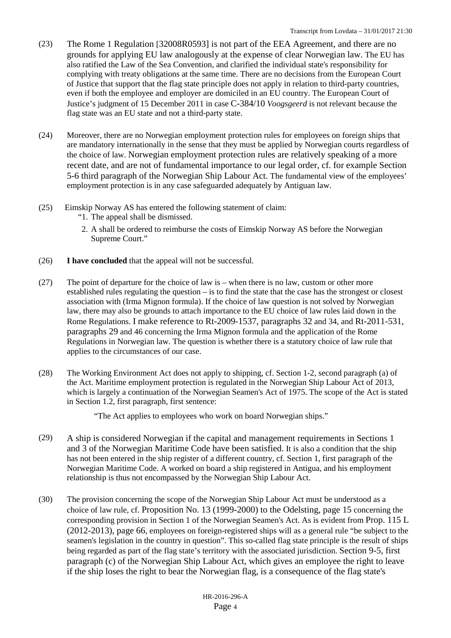- (23) The Rome 1 Regulation [32008R0593] is not part of the EEA Agreement, and there are no grounds for applying EU law analogously at the expense of clear Norwegian law. The EU has also ratified the Law of the Sea Convention, and clarified the individual state's responsibility for complying with treaty obligations at the same time. There are no decisions from the European Court of Justice that support that the flag state principle does not apply in relation to third-party countries, even if both the employee and employer are domiciled in an EU country. The European Court of Justice's judgment of 15 December 2011 in case C-384/10 *Voogsgeerd* is not relevant because the flag state was an EU state and not a third-party state.
- (24) Moreover, there are no Norwegian employment protection rules for employees on foreign ships that are mandatory internationally in the sense that they must be applied by Norwegian courts regardless of the choice of law. Norwegian employment protection rules are relatively speaking of a more recent date, and are not of fundamental importance to our legal order, cf. for example Section 5-6 third paragraph of the Norwegian Ship Labour Act. The fundamental view of the employees' employment protection is in any case safeguarded adequately by Antiguan law.
- (25) Eimskip Norway AS has entered the following statement of claim:
	- "1. The appeal shall be dismissed.
	- 2. A shall be ordered to reimburse the costs of Eimskip Norway AS before the Norwegian Supreme Court."
- (26) **I have concluded** that the appeal will not be successful.
- (27) The point of departure for the choice of law is when there is no law, custom or other more established rules regulating the question – is to find the state that the case has the strongest or closest association with (Irma Mignon formula). If the choice of law question is not solved by Norwegian law, there may also be grounds to attach importance to the EU choice of law rules laid down in the Rome Regulations. I make reference to Rt-2009-1537, paragraphs 32 and 34, and Rt-2011-531, paragraphs 29 and 46 concerning the Irma Mignon formula and the application of the Rome Regulations in Norwegian law. The question is whether there is a statutory choice of law rule that applies to the circumstances of our case.
- (28) The Working Environment Act does not apply to shipping, cf. Section 1-2, second paragraph (a) of the Act. Maritime employment protection is regulated in the Norwegian Ship Labour Act of 2013, which is largely a continuation of the Norwegian Seamen's Act of 1975. The scope of the Act is stated in Section 1.2, first paragraph, first sentence:

"The Act applies to employees who work on board Norwegian ships."

- (29) A ship is considered Norwegian if the capital and management requirements in Sections 1 and 3 of the Norwegian Maritime Code have been satisfied. It is also a condition that the ship has not been entered in the ship register of a different country, cf. Section 1, first paragraph of the Norwegian Maritime Code. A worked on board a ship registered in Antigua, and his employment relationship is thus not encompassed by the Norwegian Ship Labour Act.
- (30) The provision concerning the scope of the Norwegian Ship Labour Act must be understood as a choice of law rule, cf. Proposition No. 13 (1999-2000) to the Odelsting, page 15 concerning the corresponding provision in Section 1 of the Norwegian Seamen's Act. As is evident from Prop. 115 L (2012-2013), page 66, employees on foreign-registered ships will as a general rule "be subject to the seamen's legislation in the country in question". This so-called flag state principle is the result of ships being regarded as part of the flag state's territory with the associated jurisdiction. Section 9-5, first paragraph (c) of the Norwegian Ship Labour Act, which gives an employee the right to leave if the ship loses the right to bear the Norwegian flag, is a consequence of the flag state's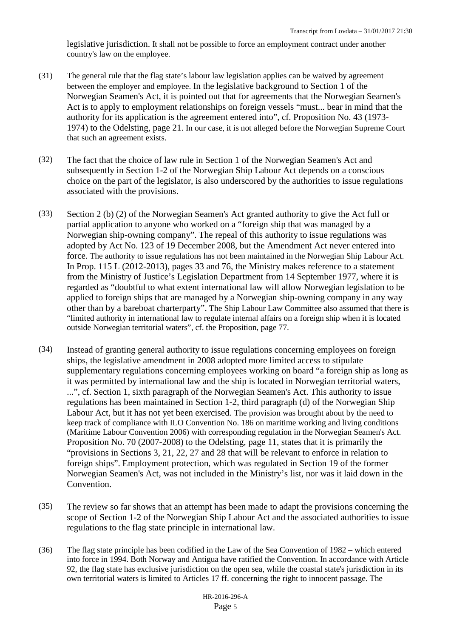legislative jurisdiction. It shall not be possible to force an employment contract under another country's law on the employee.

- (31) The general rule that the flag state's labour law legislation applies can be waived by agreement between the employer and employee. In the legislative background to Section 1 of the Norwegian Seamen's Act, it is pointed out that for agreements that the Norwegian Seamen's Act is to apply to employment relationships on foreign vessels "must... bear in mind that the authority for its application is the agreement entered into", cf. Proposition No. 43 (1973- 1974) to the Odelsting, page 21. In our case, it is not alleged before the Norwegian Supreme Court that such an agreement exists.
- (32) The fact that the choice of law rule in Section 1 of the Norwegian Seamen's Act and subsequently in Section 1-2 of the Norwegian Ship Labour Act depends on a conscious choice on the part of the legislator, is also underscored by the authorities to issue regulations associated with the provisions.
- (33) Section 2 (b) (2) of the Norwegian Seamen's Act granted authority to give the Act full or partial application to anyone who worked on a "foreign ship that was managed by a Norwegian ship-owning company". The repeal of this authority to issue regulations was adopted by Act No. 123 of 19 December 2008, but the Amendment Act never entered into force. The authority to issue regulations has not been maintained in the Norwegian Ship Labour Act. In Prop. 115 L (2012-2013), pages 33 and 76, the Ministry makes reference to a statement from the Ministry of Justice's Legislation Department from 14 September 1977, where it is regarded as "doubtful to what extent international law will allow Norwegian legislation to be applied to foreign ships that are managed by a Norwegian ship-owning company in any way other than by a bareboat charterparty". The Ship Labour Law Committee also assumed that there is "limited authority in international law to regulate internal affairs on a foreign ship when it is located outside Norwegian territorial waters", cf. the Proposition, page 77.
- (34) Instead of granting general authority to issue regulations concerning employees on foreign ships, the legislative amendment in 2008 adopted more limited access to stipulate supplementary regulations concerning employees working on board "a foreign ship as long as it was permitted by international law and the ship is located in Norwegian territorial waters, ...", cf. Section 1, sixth paragraph of the Norwegian Seamen's Act. This authority to issue regulations has been maintained in Section 1-2, third paragraph (d) of the Norwegian Ship Labour Act, but it has not yet been exercised. The provision was brought about by the need to keep track of compliance with ILO Convention No. 186 on maritime working and living conditions (Maritime Labour Convention 2006) with corresponding regulation in the Norwegian Seamen's Act. Proposition No. 70 (2007-2008) to the Odelsting, page 11, states that it is primarily the "provisions in Sections 3, 21, 22, 27 and 28 that will be relevant to enforce in relation to foreign ships". Employment protection, which was regulated in Section 19 of the former Norwegian Seamen's Act, was not included in the Ministry's list, nor was it laid down in the Convention.
- (35) The review so far shows that an attempt has been made to adapt the provisions concerning the scope of Section 1-2 of the Norwegian Ship Labour Act and the associated authorities to issue regulations to the flag state principle in international law.
- (36) The flag state principle has been codified in the Law of the Sea Convention of 1982 which entered into force in 1994. Both Norway and Antigua have ratified the Convention. In accordance with Article 92, the flag state has exclusive jurisdiction on the open sea, while the coastal state's jurisdiction in its own territorial waters is limited to Articles 17 ff. concerning the right to innocent passage. The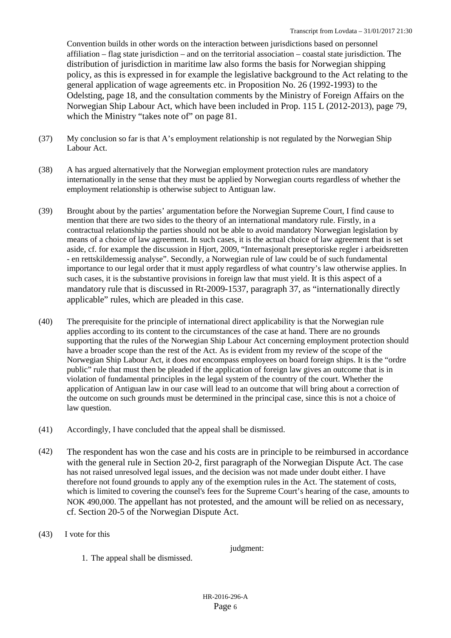Convention builds in other words on the interaction between jurisdictions based on personnel affiliation – flag state jurisdiction – and on the territorial association – coastal state jurisdiction. The distribution of jurisdiction in maritime law also forms the basis for Norwegian shipping policy, as this is expressed in for example the legislative background to the Act relating to the general application of wage agreements etc. in Proposition No. 26 (1992-1993) to the Odelsting, page 18, and the consultation comments by the Ministry of Foreign Affairs on the Norwegian Ship Labour Act, which have been included in Prop. 115 L (2012-2013), page 79, which the Ministry "takes note of" on page 81.

- (37) My conclusion so far is that A's employment relationship is not regulated by the Norwegian Ship Labour Act.
- (38) A has argued alternatively that the Norwegian employment protection rules are mandatory internationally in the sense that they must be applied by Norwegian courts regardless of whether the employment relationship is otherwise subject to Antiguan law.
- (39) Brought about by the parties' argumentation before the Norwegian Supreme Court, I find cause to mention that there are two sides to the theory of an international mandatory rule. Firstly, in a contractual relationship the parties should not be able to avoid mandatory Norwegian legislation by means of a choice of law agreement. In such cases, it is the actual choice of law agreement that is set aside, cf. for example the discussion in Hjort, 2009, "Internasjonalt preseptoriske regler i arbeidsretten - en rettskildemessig analyse". Secondly, a Norwegian rule of law could be of such fundamental importance to our legal order that it must apply regardless of what country's law otherwise applies. In such cases, it is the substantive provisions in foreign law that must yield. It is this aspect of a mandatory rule that is discussed in Rt-2009-1537, paragraph 37, as "internationally directly applicable" rules, which are pleaded in this case.
- (40) The prerequisite for the principle of international direct applicability is that the Norwegian rule applies according to its content to the circumstances of the case at hand. There are no grounds supporting that the rules of the Norwegian Ship Labour Act concerning employment protection should have a broader scope than the rest of the Act. As is evident from my review of the scope of the Norwegian Ship Labour Act, it does *not* encompass employees on board foreign ships. It is the "ordre public" rule that must then be pleaded if the application of foreign law gives an outcome that is in violation of fundamental principles in the legal system of the country of the court. Whether the application of Antiguan law in our case will lead to an outcome that will bring about a correction of the outcome on such grounds must be determined in the principal case, since this is not a choice of law question.
- (41) Accordingly, I have concluded that the appeal shall be dismissed.
- (42) The respondent has won the case and his costs are in principle to be reimbursed in accordance with the general rule in Section 20-2, first paragraph of the Norwegian Dispute Act. The case has not raised unresolved legal issues, and the decision was not made under doubt either. I have therefore not found grounds to apply any of the exemption rules in the Act. The statement of costs, which is limited to covering the counsel's fees for the Supreme Court's hearing of the case, amounts to NOK 490,000. The appellant has not protested, and the amount will be relied on as necessary, cf. Section 20-5 of the Norwegian Dispute Act.
- (43) I vote for this

judgment:

1. The appeal shall be dismissed.